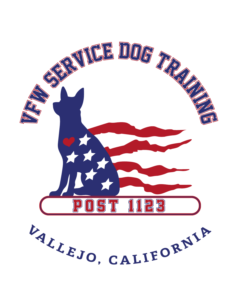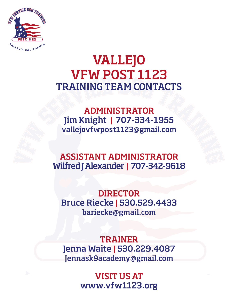

## **VALLEJO VFW POST 1123 TRAINING TEAM CONTACTS**

**ADMINISTRATOR** Jim Knight | 707-334-1955 vallejovfwpost1123@gmail.com

**ASSISTANT ADMINISTRATOR** Wilfred J Alexander | 707-342-9618

**DIRECTOR Bruce Riecke | 530.529.4433** bariecke@gmail.com

**TRAINER** Jenna Waite | 530.229.4087 Jennask9academy@gmail.com

> **VISIT US AT** www.vfw1123.org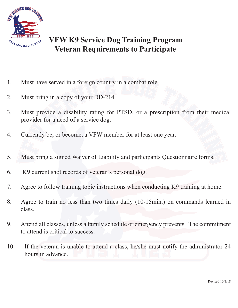

### **VFW K9 Service Dog Training Program Veteran Requirements to Participate**

- 1. Must have served in a foreign country in a combat role.
- 2. Must bring in a copy of your DD-214
- 3. Must provide a disability rating for PTSD, or a prescription from their medical provider for a need of a service dog.
- 4. Currently be, or become, a VFW member for at least one year.
- 5. Must bring a signed Waiver of Liability and participants Questionnaire forms.
- 6. K9 current shot records of veteran's personal dog.
- 7. Agree to follow training topic instructions when conducting K9 training at home.
- 8. Agree to train no less than two times daily (10-15min.) on commands learned in class.
- 9. Attend all classes, unless a family schedule or emergency prevents. The commitment to attend is critical to success.
- 10. If the veteran is unable to attend a class, he/she must notify the administrator 24 hours in advance.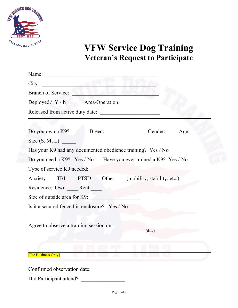

# **VFW Service Dog Training Veteran's Request to Participate**

| $City:$ and $\blacksquare$                                                |
|---------------------------------------------------------------------------|
|                                                                           |
| Deployed? Y / N Area/Operation:                                           |
|                                                                           |
|                                                                           |
| Do you own a K9? Breed: Breed: Gender: Age:                               |
| Size $(S, M, L)$ :                                                        |
| Has your K9 had any documented obedience training? Yes / No               |
| Do you need a K9? Yes / No Have you ever trained a K9? Yes / No           |
| Type of service K9 needed:                                                |
| Anxiety _____ TBI _____ PTSD _____ Other _____(mobility, stability, etc.) |
| Residence: Own Rent                                                       |
| Size of outside area for K9:                                              |
| Is it a secured fenced in enclosure? Yes / No                             |
|                                                                           |
| Agree to observe a training session on                                    |
| (data)                                                                    |
|                                                                           |
| <b>[For Business Only]</b>                                                |
|                                                                           |
| Confirmed observation date:                                               |

Did Participant attend? \_\_\_\_\_\_\_\_\_\_\_\_\_\_\_\_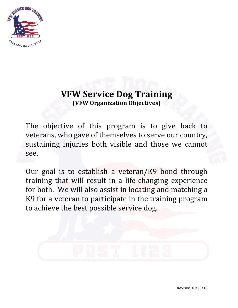

## **VFW Service Dog Training (VFW Organization Objectives)**

The objective of this program is to give back to veterans, who gave of themselves to serve our country, sustaining injuries both visible and those we cannot see.

Our goal is to establish a veteran/K9 bond through training that will result in a life-changing experience for both. We will also assist in locating and matching a K9 for a veteran to participate in the training program to achieve the best possible service dog.